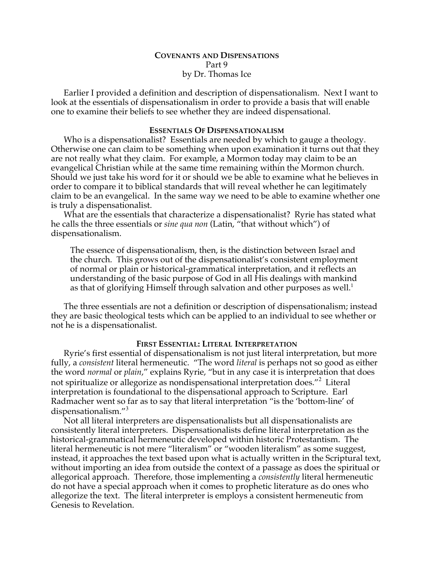## **COVENANTS AND DISPENSATIONS** Part 9 by Dr. Thomas Ice

Earlier I provided a definition and description of dispensationalism. Next I want to look at the essentials of dispensationalism in order to provide a basis that will enable one to examine their beliefs to see whether they are indeed dispensational.

#### **ESSENTIALS OF DISPENSATIONALISM**

Who is a dispensationalist? Essentials are needed by which to gauge a theology. Otherwise one can claim to be something when upon examination it turns out that they are not really what they claim. For example, a Mormon today may claim to be an evangelical Christian while at the same time remaining within the Mormon church. Should we just take his word for it or should we be able to examine what he believes in order to compare it to biblical standards that will reveal whether he can legitimately claim to be an evangelical. In the same way we need to be able to examine whether one is truly a dispensationalist.

What are the essentials that characterize a dispensationalist? Ryrie has stated what he calls the three essentials or *sine qua non* (Latin, "that without which") of dispensationalism.

The essence of dispensationalism, then, is the distinction between Israel and the church. This grows out of the dispensationalist's consistent employment of normal or plain or historical-grammatical interpretation, and it reflects an understanding of the basic purpose of God in all His dealings with mankind as that of glorifying Himself through salvation and other purposes as well.<sup>1</sup>

The three essentials are not a definition or description of dispensationalism; instead they are basic theological tests which can be applied to an individual to see whether or not he is a dispensationalist.

#### **FIRST ESSENTIAL: LITERAL INTERPRETATION**

Ryrie's first essential of dispensationalism is not just literal interpretation, but more fully, a *consistent* literal hermeneutic. "The word *literal* is perhaps not so good as either the word *normal* or *plain*," explains Ryrie, "but in any case it is interpretation that does not spiritualize or allegorize as nondispensational interpretation does."<sup>2</sup> Literal interpretation is foundational to the dispensational approach to Scripture. Earl Radmacher went so far as to say that literal interpretation "is the 'bottom-line' of dispensationalism."<sup>3</sup>

Not all literal interpreters are dispensationalists but all dispensationalists are consistently literal interpreters. Dispensationalists define literal interpretation as the historical-grammatical hermeneutic developed within historic Protestantism. The literal hermeneutic is not mere "literalism" or "wooden literalism" as some suggest, instead, it approaches the text based upon what is actually written in the Scriptural text, without importing an idea from outside the context of a passage as does the spiritual or allegorical approach. Therefore, those implementing a *consistently* literal hermeneutic do not have a special approach when it comes to prophetic literature as do ones who allegorize the text. The literal interpreter is employs a consistent hermeneutic from Genesis to Revelation.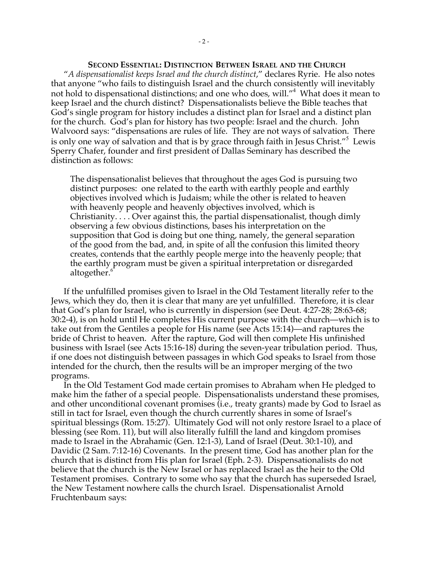**SECOND ESSENTIAL: DISTINCTION BETWEEN ISRAEL AND THE CHURCH** "*A dispensationalist keeps Israel and the church distinct*," declares Ryrie. He also notes that anyone "who fails to distinguish Israel and the church consistently will inevitably not hold to dispensational distinctions; and one who does, will."<sup>4</sup> What does it mean to keep Israel and the church distinct? Dispensationalists believe the Bible teaches that God's single program for history includes a distinct plan for Israel and a distinct plan for the church. God's plan for history has two people: Israel and the church. John Walvoord says: "dispensations are rules of life. They are not ways of salvation. There is only one way of salvation and that is by grace through faith in Jesus Christ."<sup>5</sup> Lewis Sperry Chafer, founder and first president of Dallas Seminary has described the distinction as follows:

The dispensationalist believes that throughout the ages God is pursuing two distinct purposes: one related to the earth with earthly people and earthly objectives involved which is Judaism; while the other is related to heaven with heavenly people and heavenly objectives involved, which is Christianity. . . . Over against this, the partial dispensationalist, though dimly observing a few obvious distinctions, bases his interpretation on the supposition that God is doing but one thing, namely, the general separation of the good from the bad, and, in spite of all the confusion this limited theory creates, contends that the earthly people merge into the heavenly people; that the earthly program must be given a spiritual interpretation or disregarded altogether.<sup>6</sup>

If the unfulfilled promises given to Israel in the Old Testament literally refer to the Jews, which they do, then it is clear that many are yet unfulfilled. Therefore, it is clear that God's plan for Israel, who is currently in dispersion (see Deut. 4:27-28; 28:63-68; 30:2-4), is on hold until He completes His current purpose with the church—which is to take out from the Gentiles a people for His name (see Acts 15:14)—and raptures the bride of Christ to heaven. After the rapture, God will then complete His unfinished business with Israel (see Acts 15:16-18) during the seven-year tribulation period. Thus, if one does not distinguish between passages in which God speaks to Israel from those intended for the church, then the results will be an improper merging of the two programs.

In the Old Testament God made certain promises to Abraham when He pledged to make him the father of a special people. Dispensationalists understand these promises, and other unconditional covenant promises (i.e., treaty grants) made by God to Israel as still in tact for Israel, even though the church currently shares in some of Israel's spiritual blessings (Rom. 15:27). Ultimately God will not only restore Israel to a place of blessing (see Rom. 11), but will also literally fulfill the land and kingdom promises made to Israel in the Abrahamic (Gen. 12:1-3), Land of Israel (Deut. 30:1-10), and Davidic (2 Sam. 7:12-16) Covenants. In the present time, God has another plan for the church that is distinct from His plan for Israel (Eph. 2-3). Dispensationalists do not believe that the church is the New Israel or has replaced Israel as the heir to the Old Testament promises. Contrary to some who say that the church has superseded Israel, the New Testament nowhere calls the church Israel. Dispensationalist Arnold Fruchtenbaum says: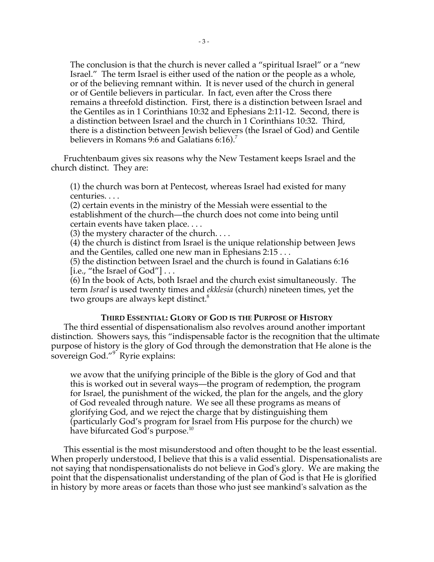The conclusion is that the church is never called a "spiritual Israel" or a "new Israel." The term Israel is either used of the nation or the people as a whole, or of the believing remnant within. It is never used of the church in general or of Gentile believers in particular. In fact, even after the Cross there remains a threefold distinction. First, there is a distinction between Israel and the Gentiles as in 1 Corinthians 10:32 and Ephesians 2:11-12. Second, there is a distinction between Israel and the church in 1 Corinthians 10:32. Third, there is a distinction between Jewish believers (the Israel of God) and Gentile believers in Romans 9:6 and Galatians  $6:16$ .<sup>7</sup>

Fruchtenbaum gives six reasons why the New Testament keeps Israel and the church distinct. They are:

(1) the church was born at Pentecost, whereas Israel had existed for many centuries. . . .

(2) certain events in the ministry of the Messiah were essential to the establishment of the church—the church does not come into being until certain events have taken place. . . .

(3) the mystery character of the church. . . .

(4) the church is distinct from Israel is the unique relationship between Jews and the Gentiles, called one new man in Ephesians 2:15 . . .

(5) the distinction between Israel and the church is found in Galatians 6:16 [i.e., "the Israel of  $God"$ ]...

(6) In the book of Acts, both Israel and the church exist simultaneously. The term *Israel* is used twenty times and *ekklesia* (church) nineteen times, yet the two groups are always kept distinct.<sup>8</sup>

### **THIRD ESSENTIAL: GLORY OF GOD IS THE PURPOSE OF HISTORY**

The third essential of dispensationalism also revolves around another important distinction. Showers says, this "indispensable factor is the recognition that the ultimate purpose of history is the glory of God through the demonstration that He alone is the sovereign God."<sup>9</sup> Ryrie explains:

we avow that the unifying principle of the Bible is the glory of God and that this is worked out in several ways—the program of redemption, the program for Israel, the punishment of the wicked, the plan for the angels, and the glory of God revealed through nature. We see all these programs as means of glorifying God, and we reject the charge that by distinguishing them (particularly God's program for Israel from His purpose for the church) we have bifurcated God's purpose.<sup>10</sup>

This essential is the most misunderstood and often thought to be the least essential. When properly understood, I believe that this is a valid essential. Dispensationalists are not saying that nondispensationalists do not believe in God's glory. We are making the point that the dispensationalist understanding of the plan of God is that He is glorified in history by more areas or facets than those who just see mankind's salvation as the